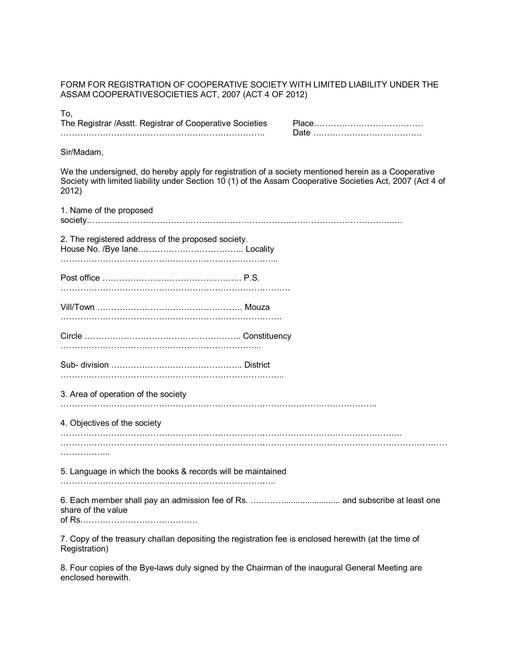FORM FOR REGISTRATION OF COOPERATIVE SOCIETY WITH LIMITED LIABILITY UNDER THE ASSAM COOPERATIVESOCIETIES ACT, 2007 (ACT 4 OF 2012)

To,

The Registrar /Asstt. Registrar of Cooperative Societies Place///////////// ////////////////////////. Date /////////////

Sir/Madam,

We the undersigned, do hereby apply for registration of a society mentioned herein as a Cooperative Society with limited liability under Section 10 (1) of the Assam Cooperative Societies Act, 2007 (Act 4 of 2012)

1. Name of the proposed society////////////////////////////////////../ 2. The registered address of the proposed society. House No. /Bye lane////////////.. Locality /////////////////////////... Post office ////////////////.. P.S. ///////////////////////////. Vill/Town /////////////////. Mouza //////////////////////////. Circle //////////////////.. Constituency ///////////////////////... Sub- division ///////////////.. District //////////////////////////.. 3. Area of operation of the society /////////////////////////////////////.. 4. Objectives of the society ////////////////////////////////////////.. ////////////////////////////////////////////// /////... 5. Language in which the books & records will be maintained /////////////////////////.. 6. Each member shall pay an admission fee of Rs. ////........................ and subscribe at least one share of the value of Rs//////////////

7. Copy of the treasury challan depositing the registration fee is enclosed herewith (at the time of Registration)

8. Four copies of the Bye-laws duly signed by the Chairman of the inaugural General Meeting are enclosed herewith.